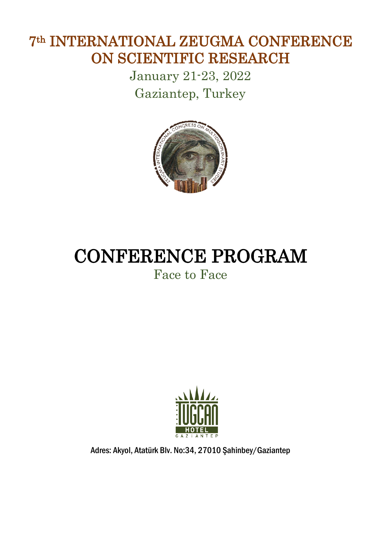## 7th INTERNATIONAL ZEUGMA CONFERENCE ON SCIENTIFIC RESEARCH

January 21-23, 2022 Gaziantep, Turkey



## CONFERENCE PROGRAM

## Face to Face



Adres: Akyol, Atatürk Blv. No:34, 27010 Şahinbey/Gaziantep